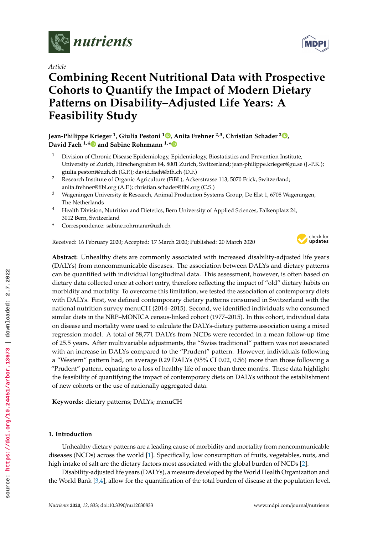

*Article*

# **Combining Recent Nutritional Data with Prospective Cohorts to Quantify the Impact of Modern Dietary Patterns on Disability–Adjusted Life Years: A Feasibility Study**

**Jean-Philippe Krieger <sup>1</sup> , Giulia Pestoni <sup>1</sup> [,](https://orcid.org/0000-0002-5933-7439) Anita Frehner 2,3, Christian Schader <sup>2</sup> [,](https://orcid.org/0000-0002-4910-4375) David Faeh 1,[4](https://orcid.org/0000-0003-2630-8102) and Sabine Rohrmann 1,[\\*](https://orcid.org/0000-0002-2215-1200)**

- <sup>1</sup> Division of Chronic Disease Epidemiology, Epidemiology, Biostatistics and Prevention Institute, University of Zurich, Hirschengraben 84, 8001 Zurich, Switzerland; jean-philippe.krieger@gu.se (J.-P.K.); giulia.pestoni@uzh.ch (G.P.); david.faeh@bfh.ch (D.F.)
- <sup>2</sup> Research Institute of Organic Agriculture (FiBL), Ackerstrasse 113, 5070 Frick, Switzerland; anita.frehner@fibl.org (A.F.); christian.schader@fibl.org (C.S.)
- <sup>3</sup> Wageningen University & Research, Animal Production Systems Group, De Elst 1, 6708 Wageningen, The Netherlands
- <sup>4</sup> Health Division, Nutrition and Dietetics, Bern University of Applied Sciences, Falkenplatz 24, 3012 Bern, Switzerland
- **\*** Correspondence: sabine.rohrmann@uzh.ch

Received: 16 February 2020; Accepted: 17 March 2020; Published: 20 March 2020



**Abstract:** Unhealthy diets are commonly associated with increased disability-adjusted life years (DALYs) from noncommunicable diseases. The association between DALYs and dietary patterns can be quantified with individual longitudinal data. This assessment, however, is often based on dietary data collected once at cohort entry, therefore reflecting the impact of "old" dietary habits on morbidity and mortality. To overcome this limitation, we tested the association of contemporary diets with DALYs. First, we defined contemporary dietary patterns consumed in Switzerland with the national nutrition survey menuCH (2014–2015). Second, we identified individuals who consumed similar diets in the NRP–MONICA census-linked cohort (1977–2015). In this cohort, individual data on disease and mortality were used to calculate the DALYs-dietary patterns association using a mixed regression model. A total of 58,771 DALYs from NCDs were recorded in a mean follow-up time of 25.5 years. After multivariable adjustments, the "Swiss traditional" pattern was not associated with an increase in DALYs compared to the "Prudent" pattern. However, individuals following a "Western" pattern had, on average 0.29 DALYs (95% CI 0.02, 0.56) more than those following a "Prudent" pattern, equating to a loss of healthy life of more than three months. These data highlight the feasibility of quantifying the impact of contemporary diets on DALYs without the establishment of new cohorts or the use of nationally aggregated data.

**Keywords:** dietary patterns; DALYs; menuCH

# **1. Introduction**

Unhealthy dietary patterns are a leading cause of morbidity and mortality from noncommunicable diseases (NCDs) across the world [1]. Specifically, low consumption of fruits, vegetables, nuts, and high intake of salt are the dietary factors most associated with the global burden of NCDs [2].

Disability-adjusted life years (DALYs), a measure developed by the World Health Organization and the World Bank [3,4], allow for the quantification of the total burden of disease at the population level.

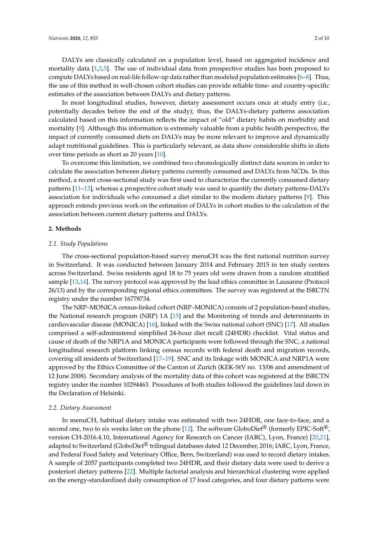DALYs are classically calculated on a population level, based on aggregated incidence and mortality data [1,3,5]. The use of individual data from prospective studies has been proposed to compute DALYs based on real-life follow-up data rather than modeled population estimates [6–8]. Thus, the use of this method in well-chosen cohort studies can provide reliable time- and country-specific estimates of the association between DALYs and dietary patterns.

In most longitudinal studies, however, dietary assessment occurs once at study entry (i.e., potentially decades before the end of the study); thus, the DALYs-dietary patterns association calculated based on this information reflects the impact of "old" dietary habits on morbidity and mortality [9]. Although this information is extremely valuable from a public health perspective, the impact of currently consumed diets on DALYs may be more relevant to improve and dynamically adapt nutritional guidelines. This is particularly relevant, as data show considerable shifts in diets over time periods as short as 20 years [10].

To overcome this limitation, we combined two chronologically distinct data sources in order to calculate the association between dietary patterns currently consumed and DALYs from NCDs. In this method, a recent cross-sectional study was first used to characterize the currently consumed dietary patterns [11–13], whereas a prospective cohort study was used to quantify the dietary patterns-DALYs association for individuals who consumed a diet similar to the modern dietary patterns [9]. This approach extends previous work on the estimation of DALYs in cohort studies to the calculation of the association between current dietary patterns and DALYs.

#### **2. Methods**

#### *2.1. Study Populations*

The cross-sectional population-based survey menuCH was the first national nutrition survey in Switzerland. It was conducted between January 2014 and February 2015 in ten study centers across Switzerland. Swiss residents aged 18 to 75 years old were drawn from a random stratified sample [13,14]. The survey protocol was approved by the lead ethics committee in Lausanne (Protocol 26/13) and by the corresponding regional ethics committees. The survey was registered at the ISRCTN registry under the number 16778734.

The NRP–MONICA census-linked cohort (NRP–MONICA) consists of 2 population-based studies, the National research program (NRP) 1A [15] and the Monitoring of trends and determinants in cardiovascular disease (MONICA) [16], linked with the Swiss national cohort (SNC) [17]. All studies comprised a self-administered simplified 24-hour diet recall (24HDR) checklist. Vital status and cause of death of the NRP1A and MONICA participants were followed through the SNC, a national longitudinal research platform linking census records with federal death and migration records, covering all residents of Switzerland [17–19]. SNC and its linkage with MONICA and NRP1A were approved by the Ethics Committee of the Canton of Zurich (KEK-StV no. 13/06 and amendment of 12 June 2008). Secondary analysis of the mortality data of this cohort was registered at the ISRCTN registry under the number 10294463. Procedures of both studies followed the guidelines laid down in the Declaration of Helsinki.

#### *2.2. Dietary Assessment*

In menuCH, habitual dietary intake was estimated with two 24HDR, one face-to-face, and a second one, two to six weeks later on the phone [12]. The software GloboDiet<sup>®</sup> (formerly EPIC-Soft<sup>®</sup>, version CH-2016.4.10, International Agency for Research on Cancer (IARC), Lyon, France) [20,21], adapted to Switzerland (GloboDiet® trilingual databases dated 12 December, 2016; IARC, Lyon, France, and Federal Food Safety and Veterinary Office, Bern, Switzerland) was used to record dietary intakes. A sample of 2057 participants completed two 24HDR, and their dietary data were used to derive a posteriori dietary patterns [22]. Multiple factorial analysis and hierarchical clustering were applied on the energy-standardized daily consumption of 17 food categories, and four dietary patterns were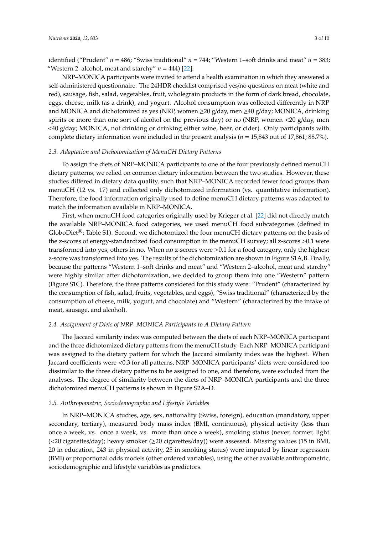identified ("Prudent" *n* = 486; "Swiss traditional" *n* = 744; "Western 1–soft drinks and meat" *n* = 383; "Western 2–alcohol, meat and starchy" *n* = 444) [22].

NRP–MONICA participants were invited to attend a health examination in which they answered a self-administered questionnaire. The 24HDR checklist comprised yes/no questions on meat (white and red), sausage, fish, salad, vegetables, fruit, wholegrain products in the form of dark bread, chocolate, eggs, cheese, milk (as a drink), and yogurt. Alcohol consumption was collected differently in NRP and MONICA and dichotomized as yes (NRP, women  $\geq 20$  g/day, men  $\geq 40$  g/day; MONICA, drinking spirits or more than one sort of alcohol on the previous day) or no (NRP, women <20 g/day, men <40 g/day; MONICA, not drinking or drinking either wine, beer, or cider). Only participants with complete dietary information were included in the present analysis (*n* = 15,843 out of 17,861; 88.7%).

# *2.3. Adaptation and Dichotomization of MenuCH Dietary Patterns*

To assign the diets of NRP–MONICA participants to one of the four previously defined menuCH dietary patterns, we relied on common dietary information between the two studies. However, these studies differed in dietary data quality, such that NRP–MONICA recorded fewer food groups than menuCH (12 vs. 17) and collected only dichotomized information (vs. quantitative information). Therefore, the food information originally used to define menuCH dietary patterns was adapted to match the information available in NRP–MONICA.

First, when menuCH food categories originally used by Krieger et al. [22] did not directly match the available NRP–MONICA food categories, we used menuCH food subcategories (defined in GloboDiet<sup>®</sup>; Table S1). Second, we dichotomized the four menuCH dietary patterns on the basis of the z-scores of energy-standardized food consumption in the menuCH survey; all z-scores >0.1 were transformed into yes, others in no. When no z-scores were >0.1 for a food category, only the highest z-score was transformed into yes. The results of the dichotomization are shown in Figure S1A,B. Finally, because the patterns "Western 1–soft drinks and meat" and "Western 2–alcohol, meat and starchy" were highly similar after dichotomization, we decided to group them into one "Western" pattern (Figure S1C). Therefore, the three patterns considered for this study were: "Prudent" (characterized by the consumption of fish, salad, fruits, vegetables, and eggs), "Swiss traditional" (characterized by the consumption of cheese, milk, yogurt, and chocolate) and "Western" (characterized by the intake of meat, sausage, and alcohol).

# *2.4. Assignment of Diets of NRP–MONICA Participants to A Dietary Pattern*

The Jaccard similarity index was computed between the diets of each NRP–MONICA participant and the three dichotomized dietary patterns from the menuCH study. Each NRP–MONICA participant was assigned to the dietary pattern for which the Jaccard similarity index was the highest. When Jaccard coefficients were <0.3 for all patterns, NRP–MONICA participants' diets were considered too dissimilar to the three dietary patterns to be assigned to one, and therefore, were excluded from the analyses. The degree of similarity between the diets of NRP–MONICA participants and the three dichotomized menuCH patterns is shown in Figure S2A–D.

### *2.5. Anthropometric, Sociodemographic and Lifestyle Variables*

In NRP–MONICA studies, age, sex, nationality (Swiss, foreign), education (mandatory, upper secondary, tertiary), measured body mass index (BMI, continuous), physical activity (less than once a week, vs. once a week, vs. more than once a week), smoking status (never, former, light  $\left($  <20 cigarettes/day); heavy smoker ( $\geq$ 20 cigarettes/day)) were assessed. Missing values (15 in BMI, 20 in education, 243 in physical activity, 25 in smoking status) were imputed by linear regression (BMI) or proportional odds models (other ordered variables), using the other available anthropometric, sociodemographic and lifestyle variables as predictors.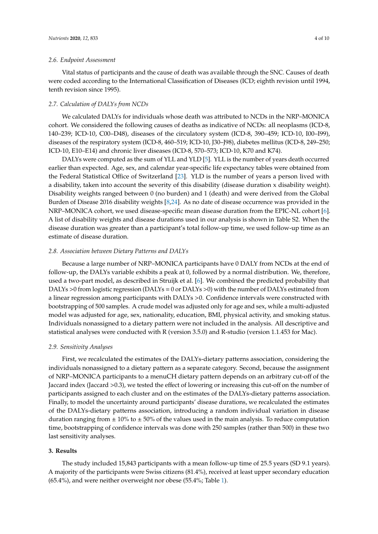# *2.6. Endpoint Assessment*

Vital status of participants and the cause of death was available through the SNC. Causes of death were coded according to the International Classification of Diseases (ICD; eighth revision until 1994, tenth revision since 1995).

### *2.7. Calculation of DALYs from NCDs*

We calculated DALYs for individuals whose death was attributed to NCDs in the NRP–MONICA cohort. We considered the following causes of deaths as indicative of NCDs: all neoplasms (ICD-8, 140–239; ICD-10, C00–D48), diseases of the circulatory system (ICD-8, 390–459; ICD-10, I00–I99), diseases of the respiratory system (ICD-8, 460–519; ICD-10, J30–J98), diabetes mellitus (ICD-8, 249–250; ICD-10, E10–E14) and chronic liver diseases (ICD-8, 570–573; ICD-10, K70 and K74).

DALYs were computed as the sum of YLL and YLD [5]. YLL is the number of years death occurred earlier than expected. Age, sex, and calendar year-specific life expectancy tables were obtained from the Federal Statistical Office of Switzerland [23]. YLD is the number of years a person lived with a disability, taken into account the severity of this disability (disease duration x disability weight). Disability weights ranged between 0 (no burden) and 1 (death) and were derived from the Global Burden of Disease 2016 disability weights [8,24]. As no date of disease occurrence was provided in the NRP–MONICA cohort, we used disease-specific mean disease duration from the EPIC-NL cohort [6]. A list of disability weights and disease durations used in our analysis is shown in Table S2. When the disease duration was greater than a participant's total follow-up time, we used follow-up time as an estimate of disease duration.

# *2.8. Association between Dietary Patterns and DALYs*

Because a large number of NRP–MONICA participants have 0 DALY from NCDs at the end of follow-up, the DALYs variable exhibits a peak at 0, followed by a normal distribution. We, therefore, used a two-part model, as described in Struijk et al. [6]. We combined the predicted probability that DALYs >0 from logistic regression (DALYs = 0 or DALYs >0) with the number of DALYs estimated from a linear regression among participants with DALYs >0. Confidence intervals were constructed with bootstrapping of 500 samples. A crude model was adjusted only for age and sex, while a multi-adjusted model was adjusted for age, sex, nationality, education, BMI, physical activity, and smoking status. Individuals nonassigned to a dietary pattern were not included in the analysis. All descriptive and statistical analyses were conducted with R (version 3.5.0) and R-studio (version 1.1.453 for Mac).

#### *2.9. Sensitivity Analyses*

First, we recalculated the estimates of the DALYs-dietary patterns association, considering the individuals nonassigned to a dietary pattern as a separate category. Second, because the assignment of NRP–MONICA participants to a menuCH dietary pattern depends on an arbitrary cut-off of the Jaccard index (Jaccard >0.3), we tested the effect of lowering or increasing this cut-off on the number of participants assigned to each cluster and on the estimates of the DALYs-dietary patterns association. Finally, to model the uncertainty around participants' disease durations, we recalculated the estimates of the DALYs-dietary patterns association, introducing a random individual variation in disease duration ranging from  $\pm$  10% to  $\pm$  50% of the values used in the main analysis. To reduce computation time, bootstrapping of confidence intervals was done with 250 samples (rather than 500) in these two last sensitivity analyses.

#### **3. Results**

The study included 15,843 participants with a mean follow-up time of 25.5 years (SD 9.1 years). A majority of the participants were Swiss citizens (81.4%), received at least upper secondary education (65.4%), and were neither overweight nor obese (55.4%; Table 1).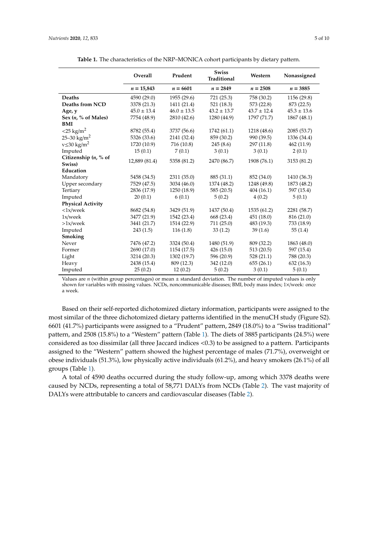|                               | Overall         | Prudent         | <b>Swiss</b><br>Traditional | Western         | Nonassigned     |
|-------------------------------|-----------------|-----------------|-----------------------------|-----------------|-----------------|
|                               | $n = 15,843$    | $n = 6601$      | $n = 2849$                  | $n = 2508$      | $n = 3885$      |
| <b>Deaths</b>                 | 4590 (29.0)     | 1955 (29.6)     | 721 (25.3)                  | 758 (30.2)      | 1156 (29.8)     |
| Deaths from NCD               | 3378 (21.3)     | 1411 (21.4)     | 521 (18.3)                  | 573 (22.8)      | 873 (22.5)      |
| Age, y                        | $45.0 \pm 13.4$ | $46.0 \pm 13.5$ | $43.2 \pm 13.7$             | $43.7 \pm 12.4$ | $45.3 \pm 13.6$ |
| Sex $(n, % of Males)$         | 7754 (48.9)     | 2810 (42.6)     | 1280 (44.9)                 | 1797 (71.7)     | 1867 (48.1)     |
| BMI                           |                 |                 |                             |                 |                 |
| $<$ 25 kg/m <sup>2</sup>      | 8782 (55.4)     | 3737 (56.6)     | 1742 (61.1)                 | 1218 (48.6)     | 2085 (53.7)     |
| 25-30 kg/m <sup>2</sup>       | 5326 (33.6)     | 2141 (32.4)     | 859 (30.2)                  | 990 (39.5)      | 1336 (34.4)     |
| $v \leq 30$ kg/m <sup>2</sup> | 1720 (10.9)     | 716 (10.8)      | 245(8.6)                    | 297 (11.8)      | 462 (11.9)      |
| Imputed                       | 15(0.1)         | 7(0.1)          | 3(0.1)                      | 3(0.1)          | 2(0.1)          |
| Citizenship $(n, %$ of        | 12,889 (81.4)   | 5358 (81.2)     | 2470 (86.7)                 | 1908 (76.1)     | 3153 (81.2)     |
| Swiss)                        |                 |                 |                             |                 |                 |
| Education                     |                 |                 |                             |                 |                 |
| Mandatory                     | 5458 (34.5)     | 2311 (35.0)     | 885 (31.1)                  | 852 (34.0)      | 1410 (36.3)     |
| Upper secondary               | 7529 (47.5)     | 3034 (46.0)     | 1374 (48.2)                 | 1248 (49.8)     | 1873 (48.2)     |
| Tertiary                      | 2836 (17.9)     | 1250 (18.9)     | 585(20.5)                   | 404(16.1)       | 597 (15.4)      |
| Imputed                       | 20(0.1)         | 6(0.1)          | 5(0.2)                      | 4(0.2)          | 5(0.1)          |
| <b>Physical Activity</b>      |                 |                 |                             |                 |                 |
| $\langle 1x/week$             | 8682 (54.8)     | 3429 (51.9)     | 1437 (50.4)                 | 1535 (61.2)     | 2281 (58.7)     |
| 1x/week                       | 3477 (21.9)     | 1542 (23.4)     | 668 (23.4)                  | 451 (18.0)      | 816 (21.0)      |
| $>1x/$ week                   | 3441 (21.7)     | 1514 (22.9)     | 711 (25.0)                  | 483 (19.3)      | 733 (18.9)      |
| Imputed                       | 243(1.5)        | 116(1.8)        | 33(1.2)                     | 39(1.6)         | 55(1.4)         |
| Smoking                       |                 |                 |                             |                 |                 |
| Never                         | 7476 (47.2)     | 3324 (50.4)     | 1480 (51.9)                 | 809 (32.2)      | 1863 (48.0)     |
| Former                        | 2690 (17.0)     | 1154 (17.5)     | 426(15.0)                   | 513(20.5)       | 597 (15.4)      |
| Light                         | 3214 (20.3)     | 1302 (19.7)     | 596 (20.9)                  | 528(21.1)       | 788 (20.3)      |
| Heavy                         | 2438 (15.4)     | 809 (12.3)      | 342 (12.0)                  | 655(26.1)       | 632(16.3)       |
| Imputed                       | 25(0.2)         | 12(0.2)         | 5(0.2)                      | 3(0.1)          | 5(0.1)          |

**Table 1.** The characteristics of the NRP–MONICA cohort participants by dietary pattern.

Values are  $n$  (within group percentages) or mean  $\pm$  standard deviation. The number of imputed values is only shown for variables with missing values. NCDs, noncommunicable diseases; BMI, body mass index; 1×/week: once a week.

Based on their self-reported dichotomized dietary information, participants were assigned to the most similar of the three dichotomized dietary patterns identified in the menuCH study (Figure S2). 6601 (41.7%) participants were assigned to a "Prudent" pattern, 2849 (18.0%) to a "Swiss traditional" pattern, and 2508 (15.8%) to a "Western" pattern (Table 1). The diets of 3885 participants (24.5%) were considered as too dissimilar (all three Jaccard indices <0.3) to be assigned to a pattern. Participants assigned to the "Western" pattern showed the highest percentage of males (71.7%), overweight or obese individuals (51.3%), low physically active individuals (61.2%), and heavy smokers (26.1%) of all groups (Table 1).

A total of 4590 deaths occurred during the study follow-up, among which 3378 deaths were caused by NCDs, representing a total of 58,771 DALYs from NCDs (Table 2). The vast majority of DALYs were attributable to cancers and cardiovascular diseases (Table 2).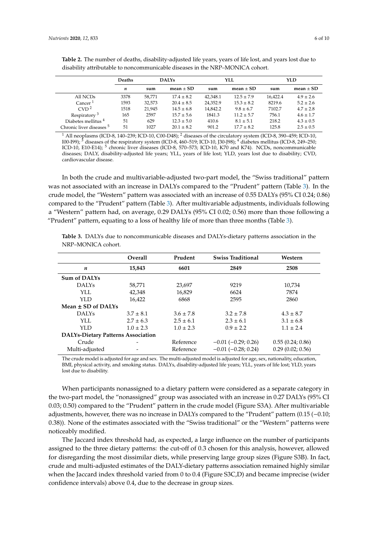|                                     | <b>Deaths</b> | <b>DALYs</b> |                | YLL      |                | YLD      |               |
|-------------------------------------|---------------|--------------|----------------|----------|----------------|----------|---------------|
|                                     | n             | sum          | $mean \pm SD$  | sum      | mean $\pm$ SD  | sum      | mean $\pm$ SD |
| All NCDs                            | 3378          | 58.771       | $17.4 \pm 8.2$ | 42.348.1 | $12.5 \pm 7.9$ | 16.422.4 | $4.9 \pm 2.6$ |
| Cancer <sup>1</sup>                 | 1593          | 32,573       | $20.4 \pm 8.5$ | 24,352.9 | $15.3 \pm 8.2$ | 8219.6   | $5.2 \pm 2.6$ |
| CVD <sup>2</sup>                    | 1518          | 21,945       | $14.5 \pm 6.8$ | 14,842.2 | $9.8 \pm 6.7$  | 7102.7   | $4.7 \pm 2.8$ |
| Respiratory <sup>3</sup>            | 165           | 2597         | $15.7 \pm 5.6$ | 1841.3   | $11.2 \pm 5.7$ | 756.1    | $4.6 \pm 1.7$ |
| Diabetes mellitus <sup>4</sup>      | 51            | 629          | $12.3 \pm 5.0$ | 410.6    | $8.1 \pm 5.1$  | 218.2    | $4.3 \pm 0.5$ |
| Chronic liver diseases <sup>5</sup> | 51            | 1027         | $20.1 \pm 8.2$ | 901.2    | $17.7 + 8.2$   | 125.8    | $2.5 \pm 0.5$ |

**Table 2.** The number of deaths, disability-adjusted life years, years of life lost, and years lost due to disability attributable to noncommunicable diseases in the NRP–MONICA cohort.

<sup>1</sup> All neoplasms (ICD-8, 140–239; ICD-10, C00-D48); <sup>2</sup> diseases of the circulatory system (ICD-8, 390–459; ICD-10, I00-I99); <sup>3</sup> diseases of the respiratory system (ICD-8, 460–519; ICD-10, J30-J98); <sup>4</sup> diabetes mellitu  $\frac{1}{3}$  diseases of the respiratory system (ICD-8, 460–519; ICD-10, J30-J98);  $\frac{4}{3}$  diabetes mellitus (ICD-8, 249–250; ICD-10, E10-E14); <sup>5</sup> chronic liver diseases (ICD-8, 570–573; ICD-10, K70 and K74). NCDs, noncommunicable diseases; DALY, disability-adjusted life years; YLL, years of life lost; YLD, years lost due to disability; CVD, cardiovascular disease.

In both the crude and multivariable-adjusted two-part model, the "Swiss traditional" pattern was not associated with an increase in DALYs compared to the "Prudent" pattern (Table 3). In the crude model, the "Western" pattern was associated with an increase of 0.55 DALYs (95% CI 0.24; 0.86) compared to the "Prudent" pattern (Table 3). After multivariable adjustments, individuals following a "Western" pattern had, on average, 0.29 DALYs (95% CI 0.02; 0.56) more than those following a "Prudent" pattern, equating to a loss of healthy life of more than three months (Table 3).

**Table 3.** DALYs due to noncommunicable diseases and DALYs-dietary patterns association in the NRP–MONICA cohort.

|                                           | <b>Overall</b> | Prudent       | <b>Swiss Traditional</b>  | Western          |  |  |  |
|-------------------------------------------|----------------|---------------|---------------------------|------------------|--|--|--|
| n                                         | 15,843         | 6601          | 2849                      | 2508             |  |  |  |
| <b>Sum of DALYs</b>                       |                |               |                           |                  |  |  |  |
| <b>DALYS</b>                              | 58,771         | 23,697        | 9219                      | 10,734           |  |  |  |
| YLL.                                      | 42.348         | 16,829        | 6624                      | 7874             |  |  |  |
| YLD                                       | 16.422         | 6868          | 2595                      | 2860             |  |  |  |
| Mean $\pm$ SD of DALYs                    |                |               |                           |                  |  |  |  |
| <b>DALYS</b>                              | $3.7 \pm 8.1$  | $3.6 \pm 7.8$ | $3.2 \pm 7.8$             | $4.3 \pm 8.7$    |  |  |  |
| YLL.                                      | $2.7 \pm 6.3$  | $2.5 \pm 6.1$ | $2.3 \pm 6.1$             | $3.1 \pm 6.8$    |  |  |  |
| YLD                                       | $1.0 \pm 2.3$  | $1.0 \pm 2.3$ | $0.9 \pm 2.2$             | $1.1 \pm 2.4$    |  |  |  |
| <b>DALYs-Dietary Patterns Association</b> |                |               |                           |                  |  |  |  |
| Crude                                     |                | Reference     | $-0.01$ ( $-0.29$ ; 0.26) | 0.55(0.24; 0.86) |  |  |  |
| Multi-adjusted                            |                | Reference     | $-0.01$ $(-0.28; 0.24)$   | 0.29(0.02; 0.56) |  |  |  |

The crude model is adjusted for age and sex. The multi-adjusted model is adjusted for age, sex, nationality, education, BMI, physical activity, and smoking status. DALYs, disability-adjusted life years; YLL, years of life lost; YLD, years lost due to disability.

When participants nonassigned to a dietary pattern were considered as a separate category in the two-part model, the "nonassigned" group was associated with an increase in 0.27 DALYs (95% CI 0.03; 0.50) compared to the "Prudent" pattern in the crude model (Figure S3A). After multivariable adjustments, however, there was no increase in DALYs compared to the "Prudent" pattern (0.15 (−0.10; 0.38)). None of the estimates associated with the "Swiss traditional" or the "Western" patterns were noticeably modified.

The Jaccard index threshold had, as expected, a large influence on the number of participants assigned to the three dietary patterns: the cut-off of 0.3 chosen for this analysis, however, allowed for disregarding the most dissimilar diets, while preserving large group sizes (Figure S3B). In fact, crude and multi-adjusted estimates of the DALY-dietary patterns association remained highly similar when the Jaccard index threshold varied from 0 to 0.4 (Figure S3C,D) and became imprecise (wider confidence intervals) above 0.4, due to the decrease in group sizes.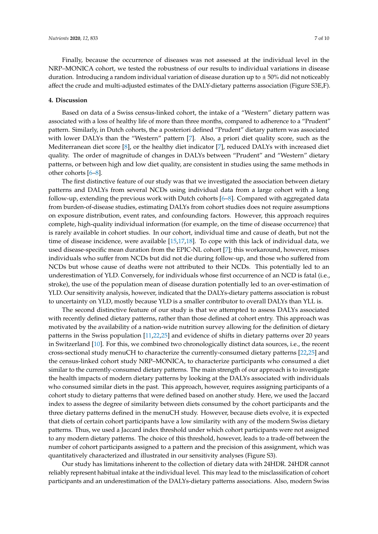Finally, because the occurrence of diseases was not assessed at the individual level in the NRP–MONICA cohort, we tested the robustness of our results to individual variations in disease duration. Introducing a random individual variation of disease duration up to  $\pm$  50% did not noticeably affect the crude and multi-adjusted estimates of the DALY-dietary patterns association (Figure S3E,F).

# **4. Discussion**

Based on data of a Swiss census-linked cohort, the intake of a "Western" dietary pattern was associated with a loss of healthy life of more than three months, compared to adherence to a "Prudent" pattern. Similarly, in Dutch cohorts, the a posteriori defined "Prudent" dietary pattern was associated with lower DALYs than the "Western" pattern [7]. Also, a priori diet quality score, such as the Mediterranean diet score [8], or the healthy diet indicator [7], reduced DALYs with increased diet quality. The order of magnitude of changes in DALYs between "Prudent" and "Western" dietary patterns, or between high and low diet quality, are consistent in studies using the same methods in other cohorts [6–8].

The first distinctive feature of our study was that we investigated the association between dietary patterns and DALYs from several NCDs using individual data from a large cohort with a long follow-up, extending the previous work with Dutch cohorts [6–8]. Compared with aggregated data from burden-of-disease studies, estimating DALYs from cohort studies does not require assumptions on exposure distribution, event rates, and confounding factors. However, this approach requires complete, high-quality individual information (for example, on the time of disease occurrence) that is rarely available in cohort studies. In our cohort, individual time and cause of death, but not the time of disease incidence, were available [15,17,18]. To cope with this lack of individual data, we used disease-specific mean duration from the EPIC-NL cohort [7]; this workaround, however, misses individuals who suffer from NCDs but did not die during follow-up, and those who suffered from NCDs but whose cause of deaths were not attributed to their NCDs. This potentially led to an underestimation of YLD. Conversely, for individuals whose first occurrence of an NCD is fatal (i.e., stroke), the use of the population mean of disease duration potentially led to an over-estimation of YLD. Our sensitivity analysis, however, indicated that the DALYs-dietary patterns association is robust to uncertainty on YLD, mostly because YLD is a smaller contributor to overall DALYs than YLL is.

The second distinctive feature of our study is that we attempted to assess DALYs associated with recently defined dietary patterns, rather than those defined at cohort entry. This approach was motivated by the availability of a nation-wide nutrition survey allowing for the definition of dietary patterns in the Swiss population [11,22,25] and evidence of shifts in dietary patterns over 20 years in Switzerland [10]. For this, we combined two chronologically distinct data sources, i.e., the recent cross-sectional study menuCH to characterize the currently-consumed dietary patterns [22,25] and the census-linked cohort study NRP–MONICA, to characterize participants who consumed a diet similar to the currently-consumed dietary patterns. The main strength of our approach is to investigate the health impacts of modern dietary patterns by looking at the DALYs associated with individuals who consumed similar diets in the past. This approach, however, requires assigning participants of a cohort study to dietary patterns that were defined based on another study. Here, we used the Jaccard index to assess the degree of similarity between diets consumed by the cohort participants and the three dietary patterns defined in the menuCH study. However, because diets evolve, it is expected that diets of certain cohort participants have a low similarity with any of the modern Swiss dietary patterns. Thus, we used a Jaccard index threshold under which cohort participants were not assigned to any modern dietary patterns. The choice of this threshold, however, leads to a trade-off between the number of cohort participants assigned to a pattern and the precision of this assignment, which was quantitatively characterized and illustrated in our sensitivity analyses (Figure S3).

Our study has limitations inherent to the collection of dietary data with 24HDR. 24HDR cannot reliably represent habitual intake at the individual level. This may lead to the misclassification of cohort participants and an underestimation of the DALYs-dietary patterns associations. Also, modern Swiss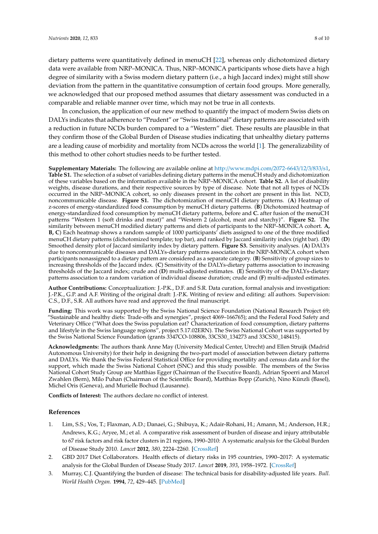dietary patterns were quantitatively defined in menuCH [22], whereas only dichotomized dietary data were available from NRP–MONICA. Thus, NRP–MONICA participants whose diets have a high degree of similarity with a Swiss modern dietary pattern (i.e., a high Jaccard index) might still show deviation from the pattern in the quantitative consumption of certain food groups. More generally, we acknowledged that our proposed method assumes that dietary assessment was conducted in a comparable and reliable manner over time, which may not be true in all contexts.

In conclusion, the application of our new method to quantify the impact of modern Swiss diets on DALYs indicates that adherence to "Prudent" or "Swiss traditional" dietary patterns are associated with a reduction in future NCDs burden compared to a "Western" diet. These results are plausible in that they confirm those of the Global Burden of Disease studies indicating that unhealthy dietary patterns are a leading cause of morbidity and mortality from NCDs across the world [1]. The generalizability of this method to other cohort studies needs to be further tested.

**Supplementary Materials:** The following are available online at http://[www.mdpi.com](http://www.mdpi.com/2072-6643/12/3/833/s1)/2072-6643/12/3/833/s1, **Table S1.** The selection of a subset of variables defining dietary patterns in the menuCH study and dichotomization of these variables based on the information available in the NRP–MONICA cohort. **Table S2.** A list of disability weights, disease durations, and their respective sources by type of disease. Note that not all types of NCDs occurred in the NRP–MONICA cohort, so only diseases present in the cohort are present in this list. NCD, noncommunicable disease. **Figure S1.** The dichotomization of menuCH dietary patterns. (**A**) Heatmap of z-scores of energy-standardized food consumption by menuCH dietary patterns. (**B**) Dichotomized heatmap of energy-standardized food consumption by menuCH dietary patterns, before and **C.** after fusion of the menuCH patterns "Western 1 (soft drinks and meat)" and "Western 2 (alcohol, meat and starchy)". **Figure S2.** The similarity between menuCH modified dietary patterns and diets of participants to the NRP–MONICA cohort. **A, B, C**) Each heatmap shows a random sample of 1000 participants' diets assigned to one of the three modified menuCH dietary patterns (dichotomized template; top bar), and ranked by Jaccard similarity index (right bar). (**D**) Smoothed density plot of Jaccard similarity index by dietary pattern. **Figure S3.** Sensitivity analyses. (**A**) DALYs due to noncommunicable diseases and DALYs-dietary patterns association in the NRP-MONICA cohort when participants nonassigned to a dietary pattern are considered as a separate category. (**B**) Sensitivity of group sizes to increasing thresholds of the Jaccard index. (**C**) Sensitivity of the DALYs-dietary patterns association to increasing thresholds of the Jaccard index; crude and (**D**) multi-adjusted estimates. (**E**) Sensitivity of the DALYs-dietary patterns association to a random variation of individual disease duration; crude and (**F**) multi-adjusted estimates.

**Author Contributions:** Conceptualization: J.-P.K., D.F. and S.R. Data curation, formal analysis and investigation: J.-P.K., G.P. and A.F. Writing of the original draft: J.-P.K. Writing of review and editing: all authors. Supervision: C.S., D.F., S.R. All authors have read and approved the final manuscript.

**Funding:** This work was supported by the Swiss National Science Foundation (National Research Project 69; "Sustainable and healthy diets: Trade-offs and synergies", project 4069–166765); and the Federal Food Safety and Veterinary Office ("What does the Swiss population eat? Characterization of food consumption, dietary patterns and lifestyle in the Swiss language regions", project 5.17.02ERN). The Swiss National Cohort was supported by the Swiss National Science Foundation (grants 3347CO-108806, 33CS30\_134273 and 33CS30\_148415).

**Acknowledgments:** The authors thank Anne May (University Medical Center, Utrecht) and Ellen Struijk (Madrid Autonomous University) for their help in designing the two-part model of association between dietary patterns and DALYs. We thank the Swiss Federal Statistical Office for providing mortality and census data and for the support, which made the Swiss National Cohort (SNC) and this study possible. The members of the Swiss National Cohort Study Group are Matthias Egger (Chairman of the Executive Board), Adrian Spoerri and Marcel Zwahlen (Bern), Milo Puhan (Chairman of the Scientific Board), Matthias Bopp (Zurich), Nino Künzli (Basel), Michel Oris (Geneva), and Murielle Bochud (Lausanne).

**Conflicts of Interest:** The authors declare no conflict of interest.

#### **References**

- 1. Lim, S.S.; Vos, T.; Flaxman, A.D.; Danaei, G.; Shibuya, K.; Adair-Rohani, H.; Amann, M.; Anderson, H.R.; Andrews, K.G.; Aryee, M.; et al. A comparative risk assessment of burden of disease and injury attributable to 67 risk factors and risk factor clusters in 21 regions, 1990–2010: A systematic analysis for the Global Burden of Disease Study 2010. *Lancet* **2012**, *380*, 2224–2260. [\[CrossRef\]](http://dx.doi.org/10.1016/S0140-6736(12)61766-8)
- 2. GBD 2017 Diet Collaborators. Health effects of dietary risks in 195 countries, 1990–2017: A systematic analysis for the Global Burden of Disease Study 2017. *Lancet* **2019**, *393*, 1958–1972. [\[CrossRef\]](http://dx.doi.org/10.1016/S0140-6736(19)30041-8)
- 3. Murray, C.J. Quantifying the burden of disease: The technical basis for disability-adjusted life years. *Bull. World Health Organ.* **1994**, *72*, 429–445. [\[PubMed\]](http://www.ncbi.nlm.nih.gov/pubmed/8062401)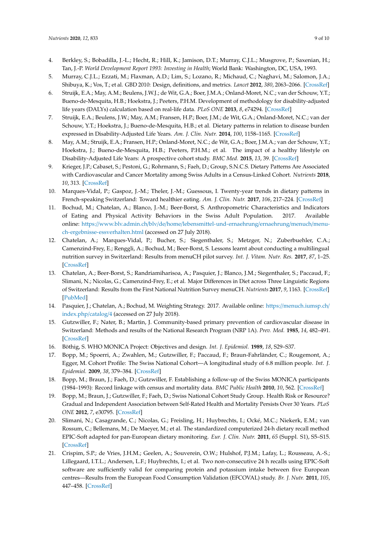- 4. Berkley, S.; Bobadilla, J.-L.; Hecht, R.; Hill, K.; Jamison, D.T.; Murray, C.J.L.; Musgrove, P.; Saxenian, H.; Tan, J.-P. *World Development Report 1993: Investing in Health*; World Bank: Washington, DC, USA, 1993.
- 5. Murray, C.J.L.; Ezzati, M.; Flaxman, A.D.; Lim, S.; Lozano, R.; Michaud, C.; Naghavi, M.; Salomon, J.A.; Shibuya, K.; Vos, T.; et al. GBD 2010: Design, definitions, and metrics. *Lancet* **2012**, *380*, 2063–2066. [\[CrossRef\]](http://dx.doi.org/10.1016/S0140-6736(12)61899-6)
- 6. Struijk, E.A.; May, A.M.; Beulens, J.W.J.; de Wit, G.A.; Boer, J.M.A.; Onland-Moret, N.C.; van der Schouw, Y.T.; Bueno-de-Mesquita, H.B.; Hoekstra, J.; Peeters, P.H.M. Development of methodology for disability-adjusted life years (DALYs) calculation based on real-life data. *PLoS ONE* **2013**, *8*, e74294. [\[CrossRef\]](http://dx.doi.org/10.1371/journal.pone.0074294)
- 7. Struijk, E.A.; Beulens, J.W.; May, A.M.; Fransen, H.P.; Boer, J.M.; de Wit, G.A.; Onland-Moret, N.C.; van der Schouw, Y.T.; Hoekstra, J.; Bueno-de-Mesquita, H.B.; et al. Dietary patterns in relation to disease burden expressed in Disability-Adjusted Life Years. *Am. J. Clin. Nutr.* **2014**, *100*, 1158–1165. [\[CrossRef\]](http://dx.doi.org/10.3945/ajcn.113.082032)
- 8. May, A.M.; Struijk, E.A.; Fransen, H.P.; Onland-Moret, N.C.; de Wit, G.A.; Boer, J.M.A.; van der Schouw, Y.T.; Hoekstra, J.; Bueno-de-Mesquita, H.B.; Peeters, P.H.M.; et al. The impact of a healthy lifestyle on Disability-Adjusted Life Years: A prospective cohort study. *BMC Med.* **2015**, *13*, 39. [\[CrossRef\]](http://dx.doi.org/10.1186/s12916-015-0287-6)
- 9. Krieger, J.P.; Cabaset, S.; Pestoni, G.; Rohrmann, S.; Faeh, D.; Group, S.N.C.S. Dietary Patterns Are Associated with Cardiovascular and Cancer Mortality among Swiss Adults in a Census-Linked Cohort. *Nutrients* **2018**, *10*, 313. [\[CrossRef\]](http://dx.doi.org/10.3390/nu10030313)
- 10. Marques-Vidal, P.; Gaspoz, J.-M.; Theler, J.-M.; Guessous, I. Twenty-year trends in dietary patterns in French-speaking Switzerland: Toward healthier eating. *Am. J. Clin. Nutr.* **2017**, *106*, 217–224. [\[CrossRef\]](http://dx.doi.org/10.3945/ajcn.116.144998)
- 11. Bochud, M.; Chatelan, A.; Blanco, J.-M.; Beer-Borst, S. Anthropometric Characteristics and Indicators of Eating and Physical Activity Behaviors in the Swiss Adult Population. 2017. Available online: https://www.blv.admin.ch/blv/de/home/[lebensmittel-und-ernaehrung](https://www.blv.admin.ch/blv/de/home/lebensmittel-und-ernaehrung/ernaehrung/menuch/menu-ch-ergebnisse-essverhalten.html)/ernaehrung/menuch/menu[ch-ergebnisse-essverhalten.html](https://www.blv.admin.ch/blv/de/home/lebensmittel-und-ernaehrung/ernaehrung/menuch/menu-ch-ergebnisse-essverhalten.html) (accessed on 27 July 2018).
- 12. Chatelan, A.; Marques-Vidal, P.; Bucher, S.; Siegenthaler, S.; Metzger, N.; Zuberbuehler, C.A.; Camenzind-Frey, E.; Renggli, A.; Bochud, M.; Beer-Borst, S. Lessons learnt about conducting a multilingual nutrition survey in Switzerland: Results from menuCH pilot survey. *Int. J. Vitam. Nutr. Res.* **2017**, *87*, 1–25. [\[CrossRef\]](http://dx.doi.org/10.1024/0300-9831/a000429)
- 13. Chatelan, A.; Beer-Borst, S.; Randriamiharisoa, A.; Pasquier, J.; Blanco, J.M.; Siegenthaler, S.; Paccaud, F.; Slimani, N.; Nicolas, G.; Camenzind-Frey, E.; et al. Major Differences in Diet across Three Linguistic Regions of Switzerland: Results from the First National Nutrition Survey menuCH. *Nutrients* **2017**, *9*, 1163. [\[CrossRef\]](http://dx.doi.org/10.3390/nu9111163) [\[PubMed\]](http://www.ncbi.nlm.nih.gov/pubmed/29068399)
- 14. Pasquier, J.; Chatelan, A.; Bochud, M. Weighting Strategy. 2017. Available online: https://[menuch.iumsp.ch](https://menuch.iumsp.ch/index.php/catalog/4)/ [index.php](https://menuch.iumsp.ch/index.php/catalog/4)/catalog/4 (accessed on 27 July 2018).
- 15. Gutzwiller, F.; Nater, B.; Martin, J. Community-based primary prevention of cardiovascular disease in Switzerland: Methods and results of the National Research Program (NRP 1A). *Prev. Med.* **1985**, *14*, 482–491. [\[CrossRef\]](http://dx.doi.org/10.1016/0091-7435(85)90008-8)
- 16. Böthig, S. WHO MONICA Project: Objectives and design. *Int. J. Epidemiol.* **1989**, *18*, S29–S37.
- 17. Bopp, M.; Spoerri, A.; Zwahlen, M.; Gutzwiller, F.; Paccaud, F.; Braun-Fahrländer, C.; Rougemont, A.; Egger, M. Cohort Profile: The Swiss National Cohort—A longitudinal study of 6.8 million people. *Int. J. Epidemiol.* **2009**, *38*, 379–384. [\[CrossRef\]](http://dx.doi.org/10.1093/ije/dyn042)
- 18. Bopp, M.; Braun, J.; Faeh, D.; Gutzwiller, F. Establishing a follow-up of the Swiss MONICA participants (1984–1993): Record linkage with census and mortality data. *BMC Public Health* **2010**, *10*, 562. [\[CrossRef\]](http://dx.doi.org/10.1186/1471-2458-10-562)
- 19. Bopp, M.; Braun, J.; Gutzwiller, F.; Faeh, D.; Swiss National Cohort Study Group. Health Risk or Resource? Gradual and Independent Association between Self-Rated Health and Mortality Persists Over 30 Years. *PLoS ONE* **2012**, *7*, e30795. [\[CrossRef\]](http://dx.doi.org/10.1371/journal.pone.0030795)
- 20. Slimani, N.; Casagrande, C.; Nicolas, G.; Freisling, H.; Huybrechts, I.; Ocké, M.C.; Niekerk, E.M.; van Rossum, C.; Bellemans, M.; De Maeyer, M.; et al. The standardized computerized 24-h dietary recall method EPIC-Soft adapted for pan-European dietary monitoring. *Eur. J. Clin. Nutr.* **2011**, *65* (Suppl. S1), S5–S15. [\[CrossRef\]](http://dx.doi.org/10.1038/ejcn.2011.83)
- 21. Crispim, S.P.; de Vries, J.H.M.; Geelen, A.; Souverein, O.W.; Hulshof, P.J.M.; Lafay, L.; Rousseau, A.-S.; Lillegaard, I.T.L.; Andersen, L.F.; Huybrechts, I.; et al. Two non-consecutive 24 h recalls using EPIC-Soft software are sufficiently valid for comparing protein and potassium intake between five European centres—Results from the European Food Consumption Validation (EFCOVAL) study. *Br. J. Nutr.* **2011**, *105*, 447–458. [\[CrossRef\]](http://dx.doi.org/10.1017/S0007114510003648)